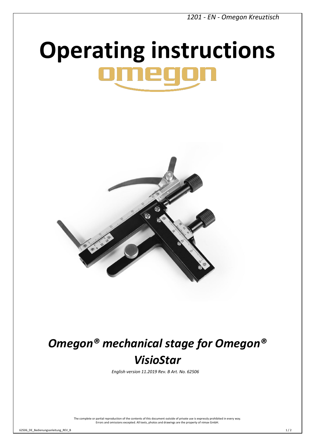*1201 - EN - Omegon Kreuztisch*

# **Operating instructions**



## *Omegon® mechanical stage for Omegon® VisioStar*

*English version 11.2019 Rev. B Art. No. 62506* 

The complete or partial reproduction of the contents of this document outside of private use is expressly prohibited in every way. Errors and omissions excepted. All texts, photos and drawings are the property of nimax GmbH.